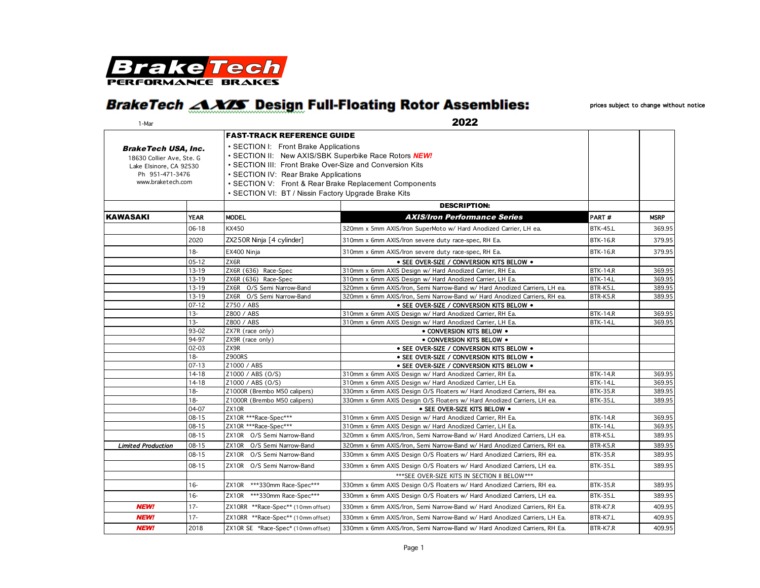

## **BrakeTech <AXXS Design Full-Floating Rotor Assemblies:**

prices subject to change without notice

| 1-Mar                      |                        | 2022                                                     |                                                                                                                      |                                    |                  |  |
|----------------------------|------------------------|----------------------------------------------------------|----------------------------------------------------------------------------------------------------------------------|------------------------------------|------------------|--|
|                            |                        | <b>FAST-TRACK REFERENCE GUIDE</b>                        |                                                                                                                      |                                    |                  |  |
| <b>BrakeTech USA, Inc.</b> |                        | • SECTION I: Front Brake Applications                    |                                                                                                                      |                                    |                  |  |
| 18630 Collier Ave, Ste. G  |                        | • SECTION II: New AXIS/SBK Superbike Race Rotors NEW!    |                                                                                                                      |                                    |                  |  |
| Lake Elsinore, CA 92530    |                        | • SECTION III: Front Brake Over-Size and Conversion Kits |                                                                                                                      |                                    |                  |  |
| Ph 951-471-3476            |                        | • SECTION IV: Rear Brake Applications                    |                                                                                                                      |                                    |                  |  |
| www.braketech.com          |                        | • SECTION V: Front & Rear Brake Replacement Components   |                                                                                                                      |                                    |                  |  |
|                            |                        | • SECTION VI: BT / Nissin Factory Upgrade Brake Kits     |                                                                                                                      |                                    |                  |  |
|                            |                        |                                                          | <b>DESCRIPTION:</b>                                                                                                  |                                    |                  |  |
| <b>KAWASAKI</b>            | <b>YEAR</b>            | <b>MODEL</b>                                             | <b>AXIS/Iron Performance Series</b>                                                                                  | PART#                              | <b>MSRP</b>      |  |
|                            | $06 - 18$              | <b>KX450</b>                                             | 320mm x 5mm AXIS/Iron SuperMoto w/ Hard Anodized Carrier, LH ea.                                                     | <b>BTK-45.L</b>                    | 369.95           |  |
|                            | 2020                   | ZX250R Ninja [4 cylinder]                                | 310mm x 6mm AXIS/Iron severe duty race-spec, RH Ea.                                                                  | <b>BTK-16.R</b>                    | 379.95           |  |
|                            | $18 -$                 | EX400 Ninja                                              | 310mm x 6mm AXIS/Iron severe duty race-spec, RH Ea.                                                                  | <b>BTK-16.R</b>                    | 379.95           |  |
|                            | $05 - 12$              | ZX6R                                                     | . SEE OVER-SIZE / CONVERSION KITS BELOW .                                                                            |                                    |                  |  |
|                            | 13-19                  | ZX6R (636) Race-Spec                                     | 310mm x 6mm AXIS Design w/ Hard Anodized Carrier, RH Ea.                                                             | <b>BTK-14.R</b>                    | 369.95           |  |
|                            | 13-19                  | ZX6R (636) Race-Spec                                     | 310mm x 6mm AXIS Design w/ Hard Anodized Carrier, LH Ea.                                                             | <b>BTK-14.L</b>                    | 369.95           |  |
|                            | 13-19                  | O/S Semi Narrow-Band<br>ZX6R                             | 320mm x 6mm AXIS/Iron, Semi Narrow-Band w/ Hard Anodized Carriers, LH ea.                                            | BTR-K5.L                           | 389.95           |  |
|                            | 13-19                  | ZX6R O/S Semi Narrow-Band                                | 320mm x 6mm AXIS/Iron, Semi Narrow-Band w/ Hard Anodized Carriers, RH ea.                                            | BTR-K5.R                           | 389.95           |  |
|                            | $07 - 12$              | Z750 / ABS                                               | · SEE OVER-SIZE / CONVERSION KITS BELOW .                                                                            |                                    |                  |  |
|                            | $13 -$                 | Z800 / ABS                                               | 310mm x 6mm AXIS Design w/ Hard Anodized Carrier, RH Ea.                                                             | <b>BTK-14.R</b>                    | 369.95           |  |
|                            | $13 -$                 | Z800 / ABS                                               | 310mm x 6mm AXIS Design w/ Hard Anodized Carrier, LH Ea.                                                             | <b>BTK-14.L</b>                    | 369.95           |  |
|                            | 93-02                  | ZX7R (race only)                                         | • CONVERSION KITS BELOW .                                                                                            |                                    |                  |  |
|                            | 94-97                  | ZX9R (race only)                                         | • CONVERSION KITS BELOW .                                                                                            |                                    |                  |  |
|                            | $02 - 03$              | ZX9R                                                     | · SEE OVER-SIZE / CONVERSION KITS BELOW .                                                                            |                                    |                  |  |
|                            | $18 -$                 | <b>Z900RS</b>                                            | . SEE OVER-SIZE / CONVERSION KITS BELOW .                                                                            |                                    |                  |  |
|                            | $07 - 13$              | Z1000 / ABS                                              | · SEE OVER-SIZE / CONVERSION KITS BELOW .                                                                            |                                    |                  |  |
|                            | $14 - 18$              | Z1000 / ABS (0/S)                                        | 310mm x 6mm AXIS Design w/ Hard Anodized Carrier, RH Ea.                                                             | <b>BTK-14.R</b>                    | 369.95           |  |
|                            | 14-18                  | Z1000 / ABS (0/S)                                        | 310mm x 6mm AXIS Design w/ Hard Anodized Carrier, LH Ea.                                                             | <b>BTK-14.L</b>                    | 369.95           |  |
|                            | $18 -$                 | Z1000R (Brembo M50 calipers)                             | 330mm x 6mm AXIS Design O/S Floaters w/ Hard Anodized Carriers, RH ea.                                               | <b>BTK-35.R</b>                    | 389.95           |  |
|                            | $18 -$                 | Z1000R (Brembo M50 calipers)                             | 330mm x 6mm AXIS Design O/S Floaters w/ Hard Anodized Carriers, LH ea.                                               | <b>BTK-35.L</b>                    | 389.95           |  |
|                            | 04-07                  | ZX10R                                                    | • SEE OVER-SIZE KITS BELOW .                                                                                         |                                    |                  |  |
|                            | $08 - 15$              | ZX10R ***Race-Spec***<br>ZX10R ***Race-Spec***           | 310mm x 6mm AXIS Design w/ Hard Anodized Carrier, RH Ea.<br>310mm x 6mm AXIS Design w/ Hard Anodized Carrier, LH Ea. | <b>BTK-14.R</b><br><b>BTK-14.L</b> | 369.95           |  |
|                            | $08 - 15$<br>$08 - 15$ | ZX10R O/S Semi Narrow-Band                               |                                                                                                                      |                                    | 369.95<br>389.95 |  |
|                            |                        |                                                          | 320mm x 6mm AXIS/Iron, Semi Narrow-Band w/ Hard Anodized Carriers, LH ea.                                            | BTR-K5.L                           |                  |  |
| <b>Limited Production</b>  | $08 - 15$              | ZX10R O/S Semi Narrow-Band                               | 320mm x 6mm AXIS/Iron, Semi Narrow-Band w/ Hard Anodized Carriers, RH ea.                                            | BTR-K5.R                           | 389.95           |  |
|                            | $08 - 15$              | ZX10R O/S Semi Narrow-Band                               | 330mm x 6mm AXIS Design O/S Floaters w/ Hard Anodized Carriers, RH ea.                                               | <b>BTK-35.R</b>                    | 389.95           |  |
|                            | $08 - 15$              | ZX10R O/S Semi Narrow-Band                               | 330mm x 6mm AXIS Design O/S Floaters w/ Hard Anodized Carriers, LH ea.                                               | <b>BTK-35.L</b>                    | 389.95           |  |
|                            |                        |                                                          | *** SEE OVER-SIZE KITS IN SECTION II BELOW ***                                                                       |                                    |                  |  |
|                            | $16 -$                 | ***330mm Race-Spec***<br>ZX10R                           | 330mm x 6mm AXIS Design O/S Floaters w/ Hard Anodized Carriers, RH ea.                                               | <b>BTK-35.R</b>                    | 389.95           |  |
|                            | $16-$                  | ZX10R ***330mm Race-Spec***                              | 330mm x 6mm AXIS Design O/S Floaters w/ Hard Anodized Carriers, LH ea.                                               | <b>BTK-35.L</b>                    | 389.95           |  |
| <b>NEW!</b>                | $17 -$                 | ZX10RR **Race-Spec** (10mm offset)                       | 330mm x 6mm AXIS/Iron, Semi Narrow-Band w/ Hard Anodized Carriers, RH Ea.                                            | BTR-K7.R                           | 409.95           |  |
| <b>NEW!</b>                | $17 -$                 | ZX10RR **Race-Spec** (10mm offset)                       | 330mm x 6mm AXIS/Iron, Semi Narrow-Band w/ Hard Anodized Carriers, LH Ea.                                            | BTR-K7.L                           | 409.95           |  |
| <b>NEW!</b>                | 2018                   | ZX10R SE *Race-Spec* (10mm offset)                       | 330mm x 6mm AXIS/Iron, Semi Narrow-Band w/ Hard Anodized Carriers, RH Ea.                                            | BTR-K7.R                           | 409.95           |  |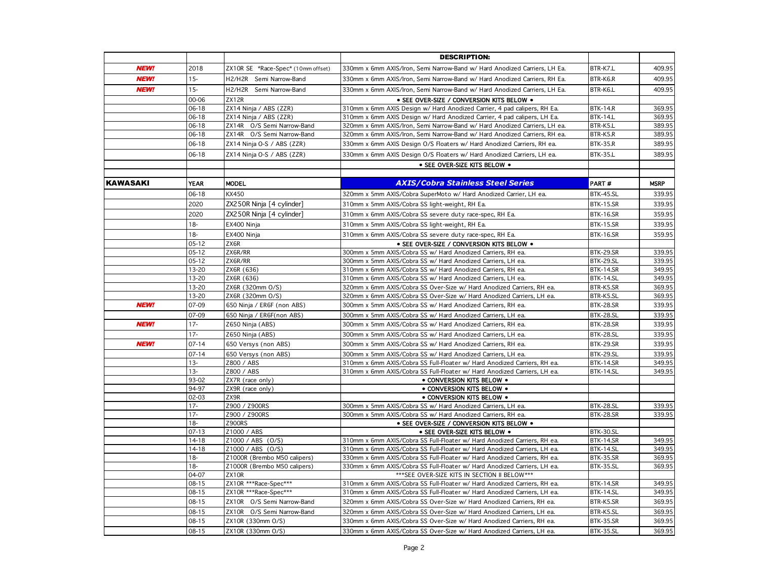|                 |                     |                                    | <b>DESCRIPTION:</b>                                                                      |                  |             |
|-----------------|---------------------|------------------------------------|------------------------------------------------------------------------------------------|------------------|-------------|
| <b>NEW!</b>     | 2018                | ZX10R SE *Race-Spec* (10mm offset) | 330mm x 6mm AXIS/Iron, Semi Narrow-Band w/ Hard Anodized Carriers, LH Ea.                | BTR-K7.L         | 409.95      |
| <b>NEW!</b>     | $15 -$              | H2/H2R Semi Narrow-Band            | 330mm x 6mm AXIS/Iron, Semi Narrow-Band w/ Hard Anodized Carriers, RH Ea.                | BTR-K6.R         | 409.95      |
| <b>NEW!</b>     | $15 -$              | H2/H2R Semi Narrow-Band            | 330mm x 6mm AXIS/Iron, Semi Narrow-Band w/ Hard Anodized Carriers, LH Ea.                | BTR-K6.L         | 409.95      |
|                 | 00-06               | ZX12R                              | · SEE OVER-SIZE / CONVERSION KITS BELOW .                                                |                  |             |
|                 | $06-18$             | ZX14 Ninja / ABS (ZZR)             | 310mm x 6mm AXIS Design w/ Hard Anodized Carrier, 4 pad calipers, RH Ea.                 | <b>BTK-14.R</b>  | 369.95      |
|                 | 06-18               | ZX14 Ninja / ABS (ZZR)             | 310mm x 6mm AXIS Design w/ Hard Anodized Carrier, 4 pad calipers, LH Ea.                 | <b>BTK-14.L</b>  | 369.95      |
|                 | 06-18               | ZX14R O/S Semi Narrow-Band         | 320mm x 6mm AXIS/Iron, Semi Narrow-Band w/ Hard Anodized Carriers, LH ea.                | BTR-K5.L         | 389.95      |
|                 | 06-18               | ZX14R O/S Semi Narrow-Band         | 320mm x 6mm AXIS/Iron, Semi Narrow-Band w/ Hard Anodized Carriers, RH ea.                | BTR-K5.R         | 389.95      |
|                 | $06 - 18$           | ZX14 Ninja O-S / ABS (ZZR)         | 330mm x 6mm AXIS Design O/S Floaters w/ Hard Anodized Carriers, RH ea.                   | <b>BTK-35.R</b>  | 389.95      |
|                 | 06-18               | ZX14 Ninja O-S / ABS (ZZR)         | 330mm x 6mm AXIS Design O/S Floaters w/ Hard Anodized Carriers, LH ea.                   | <b>BTK-35.L</b>  | 389.95      |
|                 |                     |                                    | • SEE OVER-SIZE KITS BELOW .                                                             |                  |             |
|                 |                     |                                    |                                                                                          |                  |             |
| <b>KAWASAKI</b> | <b>YEAR</b>         | <b>MODEL</b>                       | <b>AXIS/Cobra Stainless Steel Series</b>                                                 | PART#            | <b>MSRP</b> |
|                 | 06-18               | KX450                              | 320mm x 5mm AXIS/Cobra SuperMoto w/ Hard Anodized Carrier, LH ea.                        | BTK-45.SL        | 339.95      |
|                 | 2020                | ZX250R Ninja [4 cylinder]          | 310mm x 5mm AXIS/Cobra SS light-weight, RH Ea.                                           | <b>BTK-15.SR</b> | 339.95      |
|                 | 2020                | ZX250R Ninja [4 cylinder]          | 310mm x 6mm AXIS/Cobra SS severe duty race-spec, RH Ea.                                  | <b>BTK-16.SR</b> | 359.95      |
|                 | $18 -$              | EX400 Ninja                        | 310mm x 5mm AXIS/Cobra SS light-weight, RH Ea.                                           | <b>BTK-15.SR</b> | 339.95      |
|                 | $18 -$              | EX400 Ninja                        | 310mm x 6mm AXIS/Cobra SS severe duty race-spec, RH Ea.                                  | <b>BTK-16.SR</b> | 359.95      |
|                 | $05 - 12$           | ZX6R                               | • SEE OVER-SIZE / CONVERSION KITS BELOW .                                                |                  |             |
|                 | $05 - 12$           | ZX6R/RR                            | 300mm x 5mm AXIS/Cobra SS w/ Hard Anodized Carriers, RH ea.                              | <b>BTK-29.SR</b> | 339.95      |
|                 | $05 - 12$           | ZX6R/RR                            | 300mm x 5mm AXIS/Cobra SS w/ Hard Anodized Carriers, LH ea.                              | BTK-29.SL        | 339.95      |
|                 | $13 - 20$           | ZX6R (636)                         | 310mm x 6mm AXIS/Cobra SS w/ Hard Anodized Carriers, RH ea.                              | <b>BTK-14.SR</b> | 349.95      |
|                 | 13-20               | ZX6R (636)                         | 310mm x 6mm AXIS/Cobra SS w/ Hard Anodized Carriers, LH ea.                              | BTK-14.SL        | 349.95      |
|                 | 13-20               | ZX6R (320mm O/S)                   | 320mm x 6mm AXIS/Cobra SS Over-Size w/ Hard Anodized Carriers, RH ea.                    | BTR-K5.SR        | 369.95      |
|                 | $13 - 20$           | ZX6R (320mm O/S)                   | 320mm x 6mm AXIS/Cobra SS Over-Size w/ Hard Anodized Carriers, LH ea.                    | BTR-K5.SL        | 369.95      |
| <b>NEW!</b>     | 07-09               | 650 Ninja / ER6F (non ABS)         | 300mm x 5mm AXIS/Cobra SS w/ Hard Anodized Carriers, RH ea.                              | BTK-28.SR        | 339.95      |
|                 | 07-09               | 650 Ninja / ER6F(non ABS)          | 300mm x 5mm AXIS/Cobra SS w/ Hard Anodized Carriers, LH ea.                              | BTK-28.SL        | 339.95      |
| <b>NEW!</b>     | $17 -$              | Z650 Ninja (ABS)                   | 300mm x 5mm AXIS/Cobra SS w/ Hard Anodized Carriers, RH ea.                              | <b>BTK-28.SR</b> | 339.95      |
|                 | $17 -$              | Z650 Ninja (ABS)                   | 300mm x 5mm AXIS/Cobra SS w/ Hard Anodized Carriers, LH ea.                              | BTK-28.SL        | 339.95      |
| <b>NEW!</b>     | $07 - 14$           | 650 Versys (non ABS)               | 300mm x 5mm AXIS/Cobra SS w/ Hard Anodized Carriers, RH ea.                              | <b>BTK-29.SR</b> | 339.95      |
|                 | $07 - 14$           | 650 Versys (non ABS)               | 300mm x 5mm AXIS/Cobra SS w/ Hard Anodized Carriers, LH ea.                              | BTK-29.SL        | 339.95      |
|                 | $13 -$              | Z800 / ABS                         | 310mm x 6mm AXIS/Cobra SS Full-Floater w/ Hard Anodized Carriers, RH ea.                 | <b>BTK-14.SR</b> | 349.95      |
|                 | $13 -$              | Z800 / ABS                         | 310mm x 6mm AXIS/Cobra SS Full-Floater w/ Hard Anodized Carriers, LH ea.                 | BTK-14.SL        | 349.95      |
|                 | 93-02               | ZX7R (race only)                   | • CONVERSION KITS BELOW .                                                                |                  |             |
|                 | 94-97               | ZX9R (race only)                   | • CONVERSION KITS BELOW .                                                                |                  |             |
|                 | $02 - 03$<br>$17 -$ | ZX9R<br>Z900 / Z900RS              | • CONVERSION KITS BELOW .<br>300mm x 5mm AXIS/Cobra SS w/ Hard Anodized Carriers, LH ea. | <b>BTK-28.SL</b> | 339.95      |
|                 | $17 -$              | Z900 / Z900RS                      | 300mm x 5mm AXIS/Cobra SS w/ Hard Anodized Carriers, RH ea.                              | <b>BTK-28.SR</b> | 339.95      |
|                 | $18 -$              | <b>Z900RS</b>                      | · SEE OVER-SIZE / CONVERSION KITS BELOW .                                                |                  |             |
|                 | $07 - 13$           | Z1000 / ABS                        | • SEE OVER-SIZE KITS BELOW .                                                             | BTK-30.SL        |             |
|                 | $14 - 18$           | Z1000 / ABS (0/S)                  | 310mm x 6mm AXIS/Cobra SS Full-Floater w/ Hard Anodized Carriers, RH ea.                 | <b>BTK-14.SR</b> | 349.95      |
|                 | $14 - 18$           | Z1000 / ABS (0/S)                  | 310mm x 6mm AXIS/Cobra SS Full-Floater w/ Hard Anodized Carriers, LH ea.                 | <b>BTK-14.SL</b> | 349.95      |
|                 | $18 -$              | Z1000R (Brembo M50 calipers)       | 330mm x 6mm AXIS/Cobra SS Full-Floater w/ Hard Anodized Carriers, RH ea.                 | <b>BTK-35.SR</b> | 369.95      |
|                 | $18 -$              | Z1000R (Brembo M50 calipers)       | 330mm x 6mm AXIS/Cobra SS Full-Floater w/ Hard Anodized Carriers, LH ea.                 | BTK-35.SL        | 369.95      |
|                 | 04-07               | ZX10R                              | *** SEE OVER-SIZE KITS IN SECTION II BELOW***                                            |                  |             |
|                 | $08 - 15$           | ZX10R ***Race-Spec***              | 310mm x 6mm AXIS/Cobra SS Full-Floater w/ Hard Anodized Carriers, RH ea.                 | <b>BTK-14.SR</b> | 349.95      |
|                 | $08 - 15$           | ZX10R ***Race-Spec***              | 310mm x 6mm AXIS/Cobra SS Full-Floater w/ Hard Anodized Carriers, LH ea.                 | <b>BTK-14.SL</b> | 349.95      |
|                 | $08 - 15$           | ZX10R O/S Semi Narrow-Band         | 320mm x 6mm AXIS/Cobra SS Over-Size w/ Hard Anodized Carriers, RH ea.                    | BTR-K5.SR        | 369.95      |
|                 | 08-15               | ZX10R O/S Semi Narrow-Band         | 320mm x 6mm AXIS/Cobra SS Over-Size w/ Hard Anodized Carriers, LH ea.                    | BTR-K5.SL        | 369.95      |
|                 | $08 - 15$           | ZX10R (330mm O/S)                  | 330mm x 6mm AXIS/Cobra SS Over-Size w/ Hard Anodized Carriers, RH ea.                    | <b>BTK-35.SR</b> | 369.95      |
|                 | $08 - 15$           | ZX10R (330mm O/S)                  | 330mm x 6mm AXIS/Cobra SS Over-Size w/ Hard Anodized Carriers, LH ea.                    | <b>BTK-35.SL</b> | 369.95      |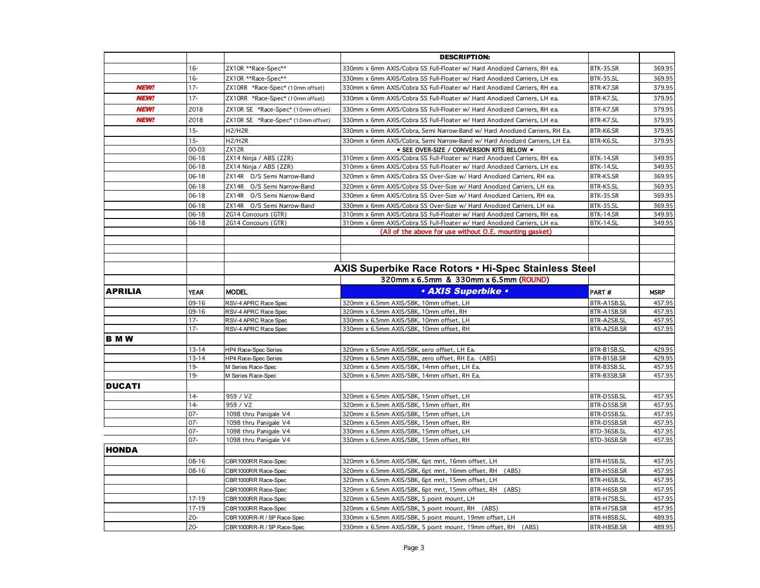|                |                  |                                                          | <b>DESCRIPTION:</b>                                                                                                    |                            |                  |
|----------------|------------------|----------------------------------------------------------|------------------------------------------------------------------------------------------------------------------------|----------------------------|------------------|
|                | $16 -$           | ZX10R **Race-Spec**                                      | 330mm x 6mm AXIS/Cobra SS Full-Floater w/ Hard Anodized Carriers, RH ea.                                               | <b>BTK-35.SR</b>           | 369.95           |
|                | $16 -$           | ZX10R **Race-Spec**                                      | 330mm x 6mm AXIS/Cobra SS Full-Floater w/ Hard Anodized Carriers, LH ea.                                               | BTK-35.SL                  | 369.95           |
| <b>NEW!</b>    | $17 -$           | ZX10RR *Race-Spec* (10mm offset)                         | 330mm x 6mm AXIS/Cobra SS Full-Floater w/ Hard Anodized Carriers, RH ea.                                               | BTR-K7.SR                  | 379.95           |
| <b>NEW!</b>    | $17 -$           | ZX10RR *Race-Spec* (10mm offset)                         | 330mm x 6mm AXIS/Cobra SS Full-Floater w/ Hard Anodized Carriers. LH ea.                                               | BTR-K7.SL                  | 379.95           |
| <b>NEW!</b>    | 2018             | ZX10R SE *Race-Spec* (10mm offset)                       | 330mm x 6mm AXIS/Cobra SS Full-Floater w/ Hard Anodized Carriers, RH ea.                                               | BTR-K7.SR                  | 379.95           |
| <b>NEW!</b>    | 2018             | ZX10R SE *Race-Spec* (10mm offset)                       | 330mm x 6mm AXIS/Cobra SS Full-Floater w/ Hard Anodized Carriers, LH ea.                                               | BTR-K7.SL                  | 379.95           |
|                | $15 -$           | H2/H2R                                                   | 330mm x 6mm AXIS/Cobra, Semi Narrow-Band w/ Hard Anodized Carriers, RH Ea.                                             | BTR-K6.SR                  | 379.95           |
|                | $15-$            | H2/H2R                                                   | 330mm x 6mm AXIS/Cobra, Semi Narrow-Band w/ Hard Anodized Carriers, LH Ea.                                             | BTR-K6.SL                  | 379.95           |
|                | $00 - 03$        | ZX12R                                                    | · SEE OVER-SIZE / CONVERSION KITS BELOW .                                                                              |                            |                  |
|                | $06 - 18$        | ZX14 Ninja / ABS (ZZR)                                   | 310mm x 6mm AXIS/Cobra SS Full-Floater w/ Hard Anodized Carriers, RH ea.                                               | <b>BTK-14.SR</b>           | 349.95           |
|                | 06-18            | ZX14 Ninja / ABS (ZZR)                                   | 310mm x 6mm AXIS/Cobra SS Full-Floater w/ Hard Anodized Carriers, LH ea.                                               | BTK-14.SL                  | 349.95           |
|                | 06-18            | ZX14R O/S Semi Narrow-Band                               | 320mm x 6mm AXIS/Cobra SS Over-Size w/ Hard Anodized Carriers, RH ea.                                                  | BTR-K5.SR                  | 369.95           |
|                | 06-18            | ZX14R O/S Semi Narrow-Band                               | 320mm x 6mm AXIS/Cobra SS Over-Size w/ Hard Anodized Carriers, LH ea.                                                  | BTR-K5.SL                  | 369.95           |
|                | $06 - 18$        | ZX14R O/S Semi Narrow-Band                               | 330mm x 6mm AXIS/Cobra SS Over-Size w/ Hard Anodized Carriers, RH ea.                                                  | BTK-35.SR                  | 369.95           |
|                | 06-18            | ZX14R O/S Semi Narrow-Band                               | 330mm x 6mm AXIS/Cobra SS Over-Size w/ Hard Anodized Carriers, LH ea.                                                  | BTK-35.SL                  | 369.95           |
|                | 06-18            | ZG14 Concours (GTR)                                      | 310mm x 6mm AXIS/Cobra SS Full-Floater w/ Hard Anodized Carriers, RH ea.                                               | <b>BTK-14.SR</b>           | 349.95           |
|                | $06 - 18$        | ZG14 Concours (GTR)                                      | 310mm x 6mm AXIS/Cobra SS Full-Floater w/ Hard Anodized Carriers, LH ea.                                               | BTK-14.SL                  | 349.95           |
|                |                  |                                                          | (All of the above for use without O.E. mounting gasket)                                                                |                            |                  |
|                |                  |                                                          |                                                                                                                        |                            |                  |
|                |                  |                                                          |                                                                                                                        |                            |                  |
|                |                  |                                                          |                                                                                                                        |                            |                  |
|                |                  |                                                          | AXIS Superbike Race Rotors . Hi-Spec Stainless Steel                                                                   |                            |                  |
|                |                  |                                                          | 320mm x 6.5mm & 330mm x 6.5mm (ROUND)                                                                                  |                            |                  |
| <b>APRILIA</b> | <b>YEAR</b>      | <b>MODEL</b>                                             | • AXIS Superbike •                                                                                                     | PART#                      | <b>MSRP</b>      |
|                | $09 - 16$        | RSV-4 APRC Race Spec                                     | 320mm x 6.5mm AXIS/SBK, 10mm offset, LH                                                                                | BTR-A1SB.SL                | 457.95           |
|                | $09 - 16$        | RSV-4 APRC Race Spec                                     | 320mm x 6.5mm AXIS/SBK, 10mm offet, RH                                                                                 | BTR-A1SB.SR                | 457.95           |
|                | $17 -$           | RSV-4 APRC Race Spec                                     | 330mm x 6.5mm AXIS/SBK, 10mm offset, LH                                                                                | BTR-A2SB.SL                | 457.95           |
|                | $17 -$           | RSV-4 APRC Race Spec                                     | 330mm x 6.5mm AXIS/SBK, 10mm offset, RH                                                                                | BTR-A2SB.SR                | 457.95           |
| <b>BMW</b>     |                  |                                                          |                                                                                                                        |                            |                  |
|                | $13 - 14$        | <b>HP4 Race-Spec Series</b>                              | 320mm x 6.5mm AXIS/SBK, sero offset, LH Ea.                                                                            | BTR-B1SB.SL                | 429.95           |
|                | $13 - 14$        | HP4 Race-Spec Series                                     | 320mm x 6.5mm AXIS/SBK, zero offset, RH Ea. (ABS)                                                                      | BTR-B1SB.SR                | 429.95           |
|                | $19 -$           | M Series Race-Spec                                       | 320mm x 6.5mm AXIS/SBK, 14mm offset, LH Ea.                                                                            | BTR-B3SB.SL                | 457.95           |
|                | $19 -$           | M Series Race-Spec                                       | 320mm x 6.5mm AXIS/SBK, 14mm offset, RH Ea.                                                                            | BTR-B3SB.SR                | 457.95           |
| <b>DUCATI</b>  |                  |                                                          |                                                                                                                        |                            |                  |
|                | $14-$            | 959 / V2                                                 | 320mm x 6.5mm AXIS/SBK, 15mm offset, LH                                                                                | BTR-D5SB.SL                | 457.95           |
|                | $14-$            | 959 / V2                                                 | 320mm x 6.5mm AXIS/SBK, 15mm offset, RH                                                                                | BTR-D5SB.SR                | 457.95           |
|                | $07 -$           | 1098 thru Panigale V4                                    | 320mm x 6.5mm AXIS/SBK, 15mm offset, LH                                                                                | BTR-D5SB.SL                | 457.95           |
|                | $07 -$           | 1098 thru Panigale V4                                    | 320mm x 6.5mm AXIS/SBK, 15mm offset, RH                                                                                | BTR-D5SB.SR                | 457.95           |
|                | $07 -$<br>$07 -$ | 1098 thru Panigale V4                                    | 330mm x 6.5mm AXIS/SBK, 15mm offset, LH                                                                                | BTD-36SB.SL                | 457.95           |
|                |                  | 1098 thru Panigale V4                                    | 330mm x 6.5mm AXIS/SBK, 15mm offset, RH                                                                                | BTD-36SB.SR                | 457.95           |
| <b>HONDA</b>   |                  |                                                          |                                                                                                                        |                            |                  |
|                | 08-16            | CBR1000RR Race-Spec                                      | 320mm x 6.5mm AXIS/SBK, 6pt mnt, 16mm offset, LH                                                                       | BTR-H5SB.SL                | 457.95           |
|                | 08-16            | CBR1000RR Race-Spec                                      | 320mm x 6.5mm AXIS/SBK, 6pt mnt, 16mm offset, RH<br>(ABS)                                                              | BTR-H5SB.SR                | 457.95           |
|                |                  | CBR1000RR Race-Spec                                      | 320mm x 6.5mm AXIS/SBK, 6pt mnt, 15mm offset, LH                                                                       | BTR-H6SB.SL                | 457.95           |
|                |                  |                                                          |                                                                                                                        |                            |                  |
|                |                  | CBR1000RR Race-Spec                                      | 320mm x 6.5mm AXIS/SBK, 6pt mnt, 15mm offset, RH<br>(ABS)                                                              | BTR-H6SB.SR                | 457.95           |
|                | 17-19            | CBR1000RR Race-Spec                                      | 320mm x 6.5mm AXIS/SBK, 5 point mount, LH                                                                              | BTR-H7SB.SL                | 457.95           |
|                | $17 - 19$        | CBR1000RR Race-Spec                                      | 320mm x 6.5mm AXIS/SBK, 5 point mount, RH (ABS)                                                                        | BTR-H7SB.SR                | 457.95           |
|                | $20 -$<br>$20 -$ | CBR1000RR-R / SP Race-Spec<br>CBR1000RR-R / SP Race-Spec | 330mm x 6.5mm AXIS/SBK, 5 point mount, 19mm offset, LH<br>330mm x 6.5mm AXIS/SBK, 5 point mount, 19mm offset, RH (ABS) | BTR-H8SB.SL<br>BTR-H8SB.SR | 489.95<br>489.95 |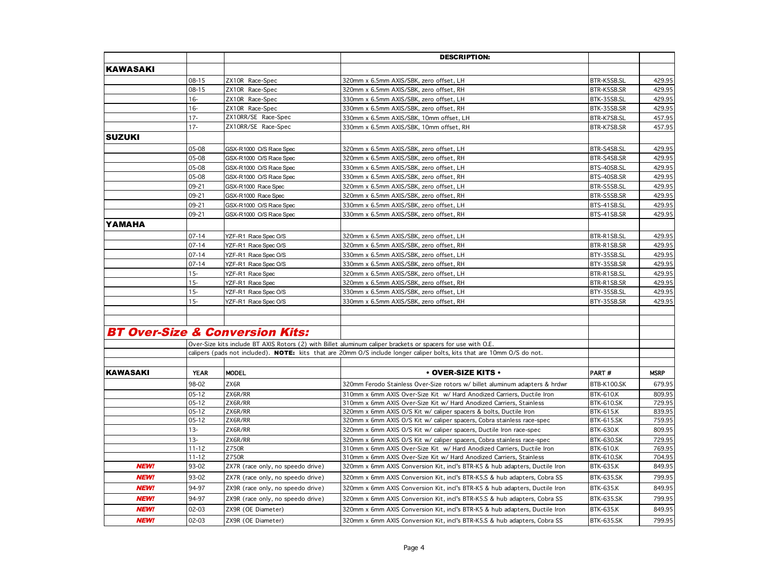|                 |             |                                            | <b>DESCRIPTION:</b>                                                                                                     |                    |             |
|-----------------|-------------|--------------------------------------------|-------------------------------------------------------------------------------------------------------------------------|--------------------|-------------|
| <b>KAWASAKI</b> |             |                                            |                                                                                                                         |                    |             |
|                 | 08-15       | ZX10R Race-Spec                            | 320mm x 6.5mm AXIS/SBK, zero offset, LH                                                                                 | BTR-K5SB.SL        | 429.95      |
|                 | 08-15       | ZX10R Race-Spec                            | 320mm x 6.5mm AXIS/SBK, zero offset, RH                                                                                 | BTR-K5SB.SR        | 429.95      |
|                 | $16 -$      | ZX10R Race-Spec                            | 330mm x 6.5mm AXIS/SBK, zero offset, LH                                                                                 | BTK-35SB.SL        | 429.95      |
|                 | $16 -$      | ZX10R Race-Spec                            | 330mm x 6.5mm AXIS/SBK, zero offset, RH                                                                                 | BTK-35SB.SR        | 429.95      |
|                 | $17 -$      | ZX10RR/SE Race-Spec                        | 330mm x 6.5mm AXIS/SBK, 10mm offset, LH                                                                                 | BTR-K7SB.SL        | 457.95      |
|                 | $17 -$      | ZX10RR/SE Race-Spec                        | 330mm x 6.5mm AXIS/SBK, 10mm offset, RH                                                                                 | BTR-K7SB.SR        | 457.95      |
| <b>SUZUKI</b>   |             |                                            |                                                                                                                         |                    |             |
|                 | 05-08       | GSX-R1000 O/S Race Spec                    | 320mm x 6.5mm AXIS/SBK, zero offset, LH                                                                                 | BTR-S4SB.SL        | 429.95      |
|                 | 05-08       | GSX-R1000 O/S Race Spec                    | 320mm x 6.5mm AXIS/SBK, zero offset, RH                                                                                 | BTR-S4SB.SR        | 429.95      |
|                 | 05-08       | GSX-R1000 O/S Race Spec                    | 330mm x 6.5mm AXIS/SBK, zero offset, LH                                                                                 | BTS-40SB.SL        | 429.95      |
|                 | 05-08       | GSX-R1000 O/S Race Spec                    | 330mm x 6.5mm AXIS/SBK, zero offset, RH                                                                                 | BTS-40SB.SR        | 429.95      |
|                 | 09-21       | GSX-R1000 Race Spec                        | 320mm x 6.5mm AXIS/SBK, zero offset, LH                                                                                 | BTR-S5SB.SL        | 429.95      |
|                 | 09-21       | GSX-R1000 Race Spec                        | 320mm x 6.5mm AXIS/SBK, zero offset, RH                                                                                 | BTR-S5SB.SR        | 429.95      |
|                 | 09-21       | GSX-R1000 O/S Race Spec                    | 330mm x 6.5mm AXIS/SBK, zero offset, LH                                                                                 | BTS-41SB.SL        | 429.95      |
|                 | 09-21       | GSX-R1000 O/S Race Spec                    | 330mm x 6.5mm AXIS/SBK, zero offset, RH                                                                                 | BTS-41SB.SR        | 429.95      |
| YAMAHA          |             |                                            |                                                                                                                         |                    |             |
|                 | $07 - 14$   | YZF-R1 Race Spec O/S                       | 320mm x 6.5mm AXIS/SBK, zero offset, LH                                                                                 | BTR-R1SB.SL        | 429.95      |
|                 | $07 - 14$   | YZF-R1 Race Spec O/S                       | 320mm x 6.5mm AXIS/SBK, zero offset, RH                                                                                 | BTR-R1SB.SR        | 429.95      |
|                 | $07 - 14$   | YZF-R1 Race Spec O/S                       | 330mm x 6.5mm AXIS/SBK, zero offset, LH                                                                                 | BTY-35SB.SL        | 429.95      |
|                 | $07 - 14$   | YZF-R1 Race Spec O/S                       | 330mm x 6.5mm AXIS/SBK, zero offset, RH                                                                                 | BTY-35SB.SR        | 429.95      |
|                 | $15 -$      | YZF-R1 Race Spec                           | 320mm x 6.5mm AXIS/SBK, zero offset, LH                                                                                 | BTR-R1SB.SL        | 429.95      |
|                 | $15-$       | YZF-R1 Race Spec                           | 320mm x 6.5mm AXIS/SBK, zero offset, RH                                                                                 | BTR-R1SB.SR        | 429.95      |
|                 | $15-$       | YZF-R1 Race Spec O/S                       | 330mm x 6.5mm AXIS/SBK, zero offset, LH                                                                                 | BTY-35SB.SL        | 429.95      |
|                 | $15-$       | YZF-R1 Race Spec O/S                       | 330mm x 6.5mm AXIS/SBK, zero offset, RH                                                                                 | BTY-35SB.SR        | 429.95      |
|                 |             |                                            |                                                                                                                         |                    |             |
|                 |             | <b>BT Over-Size &amp; Conversion Kits:</b> |                                                                                                                         |                    |             |
|                 |             |                                            | Over-Size kits include BT AXIS Rotors (2) with Billet aluminum caliper brackets or spacers for use with O.E.            |                    |             |
|                 |             |                                            | calipers (pads not included). NOTE: kits that are 20mm O/S include longer caliper bolts, kits that are 10mm O/S do not. |                    |             |
| <b>KAWASAKI</b> | <b>YEAR</b> | <b>MODEL</b>                               | $\cdot$ OVER-SIZE KITS $\cdot$                                                                                          | PART#              | <b>MSRP</b> |
|                 | 98-02       | ZX6R                                       | 320mm Ferodo Stainless Over-Size rotors w/ billet aluminum adapters & hrdwr                                             | <b>BTB-K100.SK</b> | 679.95      |
|                 | 05-12       | ZX6R/RR                                    | 310mm x 6mm AXIS Over-Size Kit w/ Hard Anodized Carriers, Ductile Iron                                                  | <b>BTK-610.K</b>   | 809.95      |
|                 | 05-12       | ZX6R/RR                                    | 310mm x 6mm AXIS Over-Size Kit w/ Hard Anodized Carriers, Stainless                                                     | <b>BTK-610.SK</b>  | 729.95      |
|                 | 05-12       | ZX6R/RR                                    | 320mm x 6mm AXIS O/S Kit w/ caliper spacers & bolts, Ductile Iron                                                       | <b>BTK-615.K</b>   | 839.95      |
|                 | $05 - 12$   | ZX6R/RR                                    | 320mm x 6mm AXIS O/S Kit w/ caliper spacers, Cobra stainless race-spec                                                  | <b>BTK-615.SK</b>  | 759.95      |
|                 | $13 -$      | ZX6R/RR                                    | 320mm x 6mm AXIS O/S Kit w/ caliper spacers, Ductile Iron race-spec                                                     | <b>BTK-630.K</b>   | 809.95      |
|                 | $13 -$      | ZX6R/RR                                    | 320mm x 6mm AXIS O/S Kit w/ caliper spacers, Cobra stainless race-spec                                                  | <b>BTK-630.SK</b>  | 729.95      |
|                 | $11 - 12$   | Z750R                                      | 310mm x 6mm AXIS Over-Size Kit w/ Hard Anodized Carriers, Ductile Iron                                                  | <b>BTK-610.K</b>   | 769.95      |
|                 | $11 - 12$   | Z750R                                      | 310mm x 6mm AXIS Over-Size Kit w/ Hard Anodized Carriers, Stainless                                                     | <b>BTK-610.SK</b>  | 704.95      |
| <b>NEW!</b>     | 93-02       | ZX7R (race only, no speedo drive)          | 320mm x 6mm AXIS Conversion Kit, incl's BTR-K5 & hub adapters, Ductile Iron                                             | <b>BTK-635.K</b>   | 849.95      |
| <b>NEW!</b>     | 93-02       | ZX7R (race only, no speedo drive)          | 320mm x 6mm AXIS Conversion Kit, incl's BTR-K5.S & hub adapters, Cobra SS                                               | <b>BTK-635.SK</b>  | 799.95      |
| <b>NEW!</b>     | 94-97       | ZX9R (race only, no speedo drive)          | 320mm x 6mm AXIS Conversion Kit, incl's BTR-K5 & hub adapters, Ductile Iron                                             | <b>BTK-635.K</b>   | 849.95      |
| <b>NEW!</b>     | 94-97       | ZX9R (race only, no speedo drive)          | 320mm x 6mm AXIS Conversion Kit, incl's BTR-K5.S & hub adapters, Cobra SS                                               | <b>BTK-635.SK</b>  | 799.95      |
| <b>NEW!</b>     | 02-03       | ZX9R (OE Diameter)                         | 320mm x 6mm AXIS Conversion Kit, incl's BTR-K5 & hub adapters, Ductile Iron                                             | <b>BTK-635.K</b>   | 849.95      |
| <b>NEW!</b>     | $02 - 03$   | ZX9R (OE Diameter)                         | 320mm x 6mm AXIS Conversion Kit, incl's BTR-K5.S & hub adapters, Cobra SS                                               | <b>BTK-635.SK</b>  | 799.95      |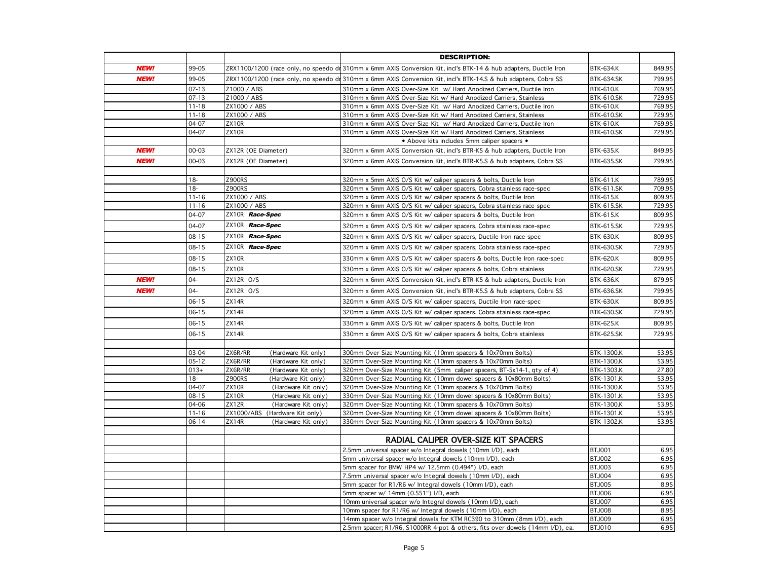|             |                |                                                     | <b>DESCRIPTION:</b>                                                                                                              |                                 |                |
|-------------|----------------|-----------------------------------------------------|----------------------------------------------------------------------------------------------------------------------------------|---------------------------------|----------------|
| <b>NEW!</b> | 99-05          |                                                     | ZRX1100/1200 (race only, no speedo dr 310mm x 6mm AXIS Conversion Kit, incl's BTK-14 & hub adapters, Ductile Iron                | <b>BTK-634.K</b>                | 849.95         |
| <b>NEW!</b> | 99-05          |                                                     | ZRX1100/1200 (race only, no speedo di 310mm x 6mm AXIS Conversion Kit, incl's BTK-14.S & hub adapters, Cobra SS                  | <b>BTK-634.SK</b>               | 799.95         |
|             | $07 - 13$      | Z1000 / ABS                                         | 310mm x 6mm AXIS Over-Size Kit w/ Hard Anodized Carriers, Ductile Iron                                                           | <b>BTK-610.K</b>                | 769.95         |
|             | $07 - 13$      | Z1000 / ABS                                         | 310mm x 6mm AXIS Over-Size Kit w/ Hard Anodized Carriers, Stainless                                                              | <b>BTK-610.SK</b>               | 729.95         |
|             | $11 - 18$      | ZX1000 / ABS                                        | 310mm x 6mm AXIS Over-Size Kit w/ Hard Anodized Carriers, Ductile Iron                                                           | <b>BTK-610.K</b>                | 769.95         |
|             | $11 - 18$      | ZX1000 / ABS                                        | 310mm x 6mm AXIS Over-Size Kit w/ Hard Anodized Carriers, Stainless                                                              | <b>BTK-610.SK</b>               | 729.95         |
|             | 04-07          | ZX10R                                               | 310mm x 6mm AXIS Over-Size Kit w/ Hard Anodized Carriers, Ductile Iron                                                           | <b>BTK-610.K</b>                | 769.95         |
|             | 04-07          | ZX10R                                               | 310mm x 6mm AXIS Over-Size Kit w/ Hard Anodized Carriers, Stainless                                                              | <b>BTK-610.SK</b>               | 729.95         |
|             |                |                                                     | • Above kits includes 5mm caliper spacers •                                                                                      |                                 |                |
| <b>NEW!</b> | 00-03          | ZX12R (OE Diameter)                                 | 320mm x 6mm AXIS Conversion Kit, incl's BTR-K5 & hub adapters, Ductile Iron                                                      | <b>BTK-635.K</b>                | 849.95         |
| <b>NEW!</b> | $00 - 03$      | ZX12R (OE Diameter)                                 | 320mm x 6mm AXIS Conversion Kit. incl's BTR-K5.S & hub adapters. Cobra SS                                                        | <b>BTK-635.SK</b>               | 799.95         |
|             |                |                                                     |                                                                                                                                  |                                 |                |
|             | $18 -$         | <b>Z900RS</b>                                       | 320mm x 5mm AXIS O/S Kit w/ caliper spacers & bolts, Ductile Iron                                                                | <b>BTK-611.K</b>                | 789.95         |
|             | $18 -$         | <b>Z900RS</b>                                       | 320mm x 5mm AXIS O/S Kit w/ caliper spacers, Cobra stainless race-spec                                                           | <b>BTK-611.SK</b>               | 709.95         |
|             | $11 - 16$      | ZX1000 / ABS                                        | 320mm x 6mm AXIS O/S Kit w/ caliper spacers & bolts, Ductile Iron                                                                | <b>BTK-615.K</b>                | 809.95         |
|             | $11 - 16$      | ZX1000 / ABS                                        | 320mm x 6mm AXIS O/S Kit w/ caliper spacers, Cobra stainless race-spec                                                           | <b>BTK-615.SK</b>               | 729.95         |
|             | 04-07          | ZX10R Race-Spec                                     | 320mm x 6mm AXIS O/S Kit w/ caliper spacers & bolts, Ductile Iron                                                                | <b>BTK-615.K</b>                | 809.95         |
|             | 04-07          | ZX10R Race-Spec                                     | 320mm x 6mm AXIS O/S Kit w/ caliper spacers, Cobra stainless race-spec                                                           | <b>BTK-615.SK</b>               | 729.95         |
|             | $08 - 15$      | ZX10R Race-Spec                                     | 320mm x 6mm AXIS O/S Kit w/ caliper spacers, Ductile Iron race-spec                                                              | <b>BTK-630.K</b>                | 809.95         |
|             | $08 - 15$      | ZX10R Race-Spec                                     | 320mm x 6mm AXIS O/S Kit w/ caliper spacers, Cobra stainless race-spec                                                           | <b>BTK-630.SK</b>               | 729.95         |
|             | $08 - 15$      | ZX10R                                               | 330mm x 6mm AXIS O/S Kit w/ caliper spacers & bolts, Ductile Iron race-spec                                                      | <b>BTK-620.K</b>                | 809.95         |
|             | $08 - 15$      | ZX10R                                               | 330mm x 6mm AXIS O/S Kit w/ caliper spacers & bolts, Cobra stainless                                                             | <b>BTK-620.SK</b>               | 729.95         |
| <b>NEW!</b> | $04 -$         | ZX12R O/S                                           | 320mm x 6mm AXIS Conversion Kit, incl's BTR-K5 & hub adapters, Ductile Iron                                                      | <b>BTK-636.K</b>                | 879.95         |
| <b>NEW!</b> | $04 -$         | ZX12R O/S                                           | 320mm x 6mm AXIS Conversion Kit, incl's BTR-K5.S & hub adapters, Cobra SS                                                        | <b>BTK-636.SK</b>               | 799.95         |
|             | $06 - 15$      | ZX14R                                               | 320mm x 6mm AXIS O/S Kit w/ caliper spacers, Ductile Iron race-spec                                                              | <b>BTK-630.K</b>                | 809.95         |
|             | $06 - 15$      | ZX14R                                               | 320mm x 6mm AXIS O/S Kit w/ caliper spacers, Cobra stainless race-spec                                                           | <b>BTK-630.SK</b>               | 729.95         |
|             | $06 - 15$      | ZX14R                                               | 330mm x 6mm AXIS O/S Kit w/ caliper spacers & bolts, Ductile Iron                                                                | <b>BTK-625.K</b>                | 809.95         |
|             | $06 - 15$      | ZX14R                                               | 330mm x 6mm AXIS O/S Kit w/ caliper spacers & bolts, Cobra stainless                                                             | <b>BTK-625.SK</b>               | 729.95         |
|             |                |                                                     |                                                                                                                                  |                                 |                |
|             | 03-04          | ZX6R/RR<br>(Hardware Kit only)                      | 300mm Over-Size Mounting Kit (10mm spacers & 10x70mm Bolts)                                                                      | BTK-1300.K                      | 53.95          |
|             | $05 - 12$      | ZX6R/RR<br>(Hardware Kit only)                      | 320mm Over-Size Mounting Kit (10mm spacers & 10x70mm Bolts)                                                                      | BTK-1300.K                      | 53.95          |
|             | $013+$         | ZX6R/RR<br>(Hardware Kit only)                      | 320mm Over-Size Mounting Kit (5mm caliper spacers, BT-5x14-1, qty of 4)                                                          | BTK-1303.K                      | 27.80          |
|             | $18-$<br>04-07 | <b>Z900RS</b><br>(Hardware Kit only)<br>ZX10R       | 320mm Over-Size Mounting Kit (10mm dowel spacers & 10x80mm Bolts)<br>320mm Over-Size Mounting Kit (10mm spacers & 10x70mm Bolts) | BTK-1301.K<br><b>BTK-1300.K</b> | 53.95          |
|             | $08 - 15$      | (Hardware Kit only)<br>ZX10R<br>(Hardware Kit only) | 330mm Over-Size Mounting Kit (10mm dowel spacers & 10x80mm Bolts)                                                                | BTK-1301.K                      | 53.95<br>53.95 |
|             | 04-06          | ZX12R<br>(Hardware Kit only)                        | 320mm Over-Size Mounting Kit (10mm spacers & 10x70mm Bolts)                                                                      | <b>BTK-1300.K</b>               | 53.95          |
|             | $11 - 16$      | ZX1000/ABS (Hardware Kit only)                      | 320mm Over-Size Mounting Kit (10mm dowel spacers & 10x80mm Bolts)                                                                | BTK-1301.K                      | 53.95          |
|             | 06-14          | ZX14R<br>(Hardware Kit only)                        | 330mm Over-Size Mounting Kit (10mm spacers & 10x70mm Bolts)                                                                      | BTK-1302.K                      | 53.95          |
|             |                |                                                     |                                                                                                                                  |                                 |                |
|             |                |                                                     | RADIAL CALIPER OVER-SIZE KIT SPACERS                                                                                             |                                 |                |
|             |                |                                                     | 2.5mm universal spacer w/o Integral dowels (10mm I/D), each                                                                      | <b>BTJ001</b>                   | 6.95           |
|             |                |                                                     | 5mm universal spacer w/o Integral dowels (10mm I/D), each                                                                        | <b>BTJ002</b>                   | 6.95           |
|             |                |                                                     | 5mm spacer for BMW HP4 w/ 12.5mm (0.494") I/D, each                                                                              | <b>BTJ003</b>                   | 6.95           |
|             |                |                                                     | 7.5mm universal spacer w/o Integral dowels (10mm I/D), each                                                                      | <b>BTJ004</b>                   | 6.95           |
|             |                |                                                     | 5mm spacer for R1/R6 w/ Integral dowels (10mm I/D), each                                                                         | <b>BTJ005</b><br>BTJ006         | 8.95<br>6.95   |
|             |                |                                                     | 5mm spacer w/ 14mm (0.551") I/D, each<br>10mm universal spacer w/o Integral dowels (10mm I/D), each                              | <b>BTJ007</b>                   | 6.95           |
|             |                |                                                     | 10mm spacer for R1/R6 w/ Integral dowels (10mm I/D), each                                                                        | <b>BTJ008</b>                   | 8.95           |
|             |                |                                                     | 14mm spacer w/o Integral dowels for KTM RC390 to 310mm (8mm I/D), each                                                           | <b>BTJ009</b>                   | 6.95           |
|             |                |                                                     | 2.5mm spacer; R1/R6, S1000RR 4-pot & others, fits over dowels (14mm I/D), ea.                                                    | <b>BTJ010</b>                   | 6.95           |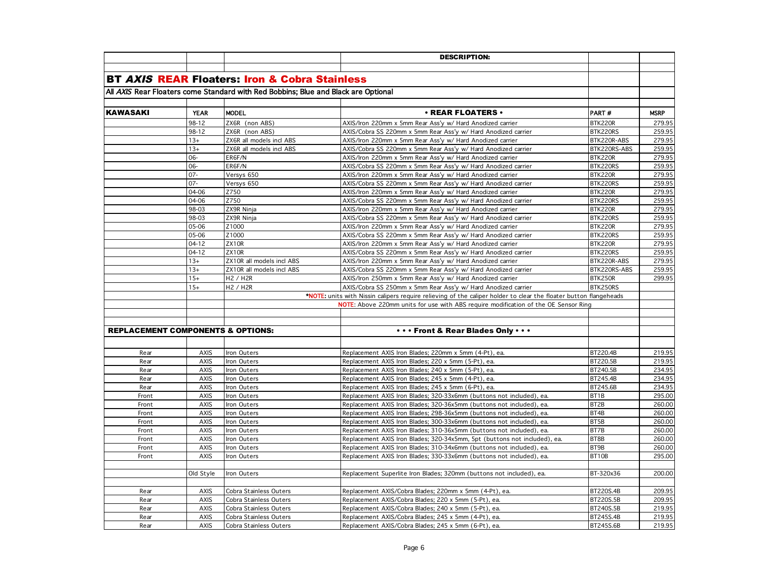|                                              |             |                                                                                    | <b>DESCRIPTION:</b>                                                                                               |              |             |
|----------------------------------------------|-------------|------------------------------------------------------------------------------------|-------------------------------------------------------------------------------------------------------------------|--------------|-------------|
|                                              |             |                                                                                    |                                                                                                                   |              |             |
|                                              |             | <b>BT AXIS REAR Floaters: Iron &amp; Cobra Stainless</b>                           |                                                                                                                   |              |             |
|                                              |             | All AXIS Rear Floaters come Standard with Red Bobbins; Blue and Black are Optional |                                                                                                                   |              |             |
|                                              |             |                                                                                    |                                                                                                                   |              |             |
| <b>KAWASAKI</b>                              | <b>YEAR</b> | <b>MODEL</b>                                                                       | $\cdot$ REAR FLOATERS $\cdot$                                                                                     | PART#        | <b>MSRP</b> |
|                                              | 98-12       | ZX6R (non ABS)                                                                     | AXIS/Iron 220mm x 5mm Rear Ass'y w/ Hard Anodized carrier                                                         | BTK220R      | 279.95      |
|                                              | 98-12       | ZX6R (non ABS)                                                                     | AXIS/Cobra SS 220mm x 5mm Rear Ass'y w/ Hard Anodized carrier                                                     | BTK220RS     | 259.95      |
|                                              | $13+$       | ZX6R all models incl ABS                                                           | AXIS/Iron 220mm x 5mm Rear Ass'y w/ Hard Anodized carrier                                                         | BTK220R-ABS  | 279.95      |
|                                              | $13+$       | ZX6R all models incl ABS                                                           | AXIS/Cobra SS 220mm x 5mm Rear Ass'y w/ Hard Anodized carrier                                                     | BTK220RS-ABS | 259.95      |
|                                              | 06-         | ER6F/N                                                                             | AXIS/Iron 220mm x 5mm Rear Ass'y w/ Hard Anodized carrier                                                         | BTK220R      | 279.95      |
|                                              | 06-         | ER6F/N                                                                             | AXIS/Cobra SS 220mm x 5mm Rear Ass'y w/ Hard Anodized carrier                                                     | BTK220RS     | 259.95      |
|                                              | $07 -$      | Versys 650                                                                         | AXIS/Iron 220mm x 5mm Rear Ass'y w/ Hard Anodized carrier                                                         | BTK220R      | 279.95      |
|                                              | $07 -$      | Versys 650                                                                         | AXIS/Cobra SS 220mm x 5mm Rear Ass'y w/ Hard Anodized carrier                                                     | BTK220RS     | 259.95      |
|                                              | 04-06       | Z750                                                                               | AXIS/Iron 220mm x 5mm Rear Ass'y w/ Hard Anodized carrier                                                         | BTK220R      | 279.95      |
|                                              | 04-06       | Z750                                                                               | AXIS/Cobra SS 220mm x 5mm Rear Ass'y w/ Hard Anodized carrier                                                     | BTK220RS     | 259.95      |
|                                              | 98-03       | ZX9R Ninja                                                                         | AXIS/Iron 220mm x 5mm Rear Ass'y w/ Hard Anodized carrier                                                         | BTK220R      | 279.95      |
|                                              | 98-03       | ZX9R Ninja                                                                         | AXIS/Cobra SS 220mm x 5mm Rear Ass'y w/ Hard Anodized carrier                                                     | BTK220RS     | 259.95      |
|                                              | 05-06       | Z1000                                                                              | AXIS/Iron 220mm x 5mm Rear Ass'y w/ Hard Anodized carrier                                                         | BTK220R      | 279.95      |
|                                              | 05-06       | Z1000                                                                              | AXIS/Cobra SS 220mm x 5mm Rear Ass'y w/ Hard Anodized carrier                                                     | BTK220RS     | 259.95      |
|                                              | $04 - 12$   | ZX10R                                                                              | AXIS/Iron 220mm x 5mm Rear Ass'y w/ Hard Anodized carrier                                                         | BTK220R      | 279.95      |
|                                              | $04 - 12$   | ZX10R                                                                              | AXIS/Cobra SS 220mm x 5mm Rear Ass'y w/ Hard Anodized carrier                                                     | BTK220RS     | 259.95      |
|                                              | $13+$       | ZX10R all models incl ABS                                                          | AXIS/Iron 220mm x 5mm Rear Ass'y w/ Hard Anodized carrier                                                         | BTK220R-ABS  | 279.95      |
|                                              | $13+$       | ZX10R all models incl ABS                                                          | AXIS/Cobra SS 220mm x 5mm Rear Ass'y w/ Hard Anodized carrier                                                     | BTK220RS-ABS | 259.95      |
|                                              | $15+$       | H2 / H2R                                                                           | AXIS/Iron 250mm x 5mm Rear Ass'y w/ Hard Anodized carrier                                                         | BTK250R      | 299.95      |
|                                              | $15+$       | H <sub>2</sub> / H <sub>2R</sub>                                                   | AXIS/Cobra SS 250mm x 5mm Rear Ass'y w/ Hard Anodized carrier                                                     | BTK250RS     |             |
|                                              |             |                                                                                    | *NOTE: units with Nissin calipers require relieving of the caliper holder to clear the floater button flangeheads |              |             |
|                                              |             |                                                                                    | NOTE: Above 220mm units for use with ABS require modification of the OE Sensor Ring                               |              |             |
|                                              |             |                                                                                    |                                                                                                                   |              |             |
|                                              |             |                                                                                    |                                                                                                                   |              |             |
| <b>REPLACEMENT COMPONENTS &amp; OPTIONS:</b> |             |                                                                                    | Front & Rear Blades Only                                                                                          |              |             |
|                                              |             |                                                                                    |                                                                                                                   |              |             |
| Rear                                         | <b>AXIS</b> | Iron Outers                                                                        | Replacement AXIS Iron Blades; 220mm x 5mm (4-Pt), ea.                                                             | BT220.4B     | 219.95      |
| Rear                                         | <b>AXIS</b> | Iron Outers                                                                        | Replacement AXIS Iron Blades; 220 x 5mm (5-Pt), ea.                                                               | BT220.5B     | 219.95      |
| Rear                                         | <b>AXIS</b> | Iron Outers                                                                        | Replacement AXIS Iron Blades; 240 x 5mm (5-Pt), ea.                                                               | BT240.5B     | 234.95      |
| Rear                                         | <b>AXIS</b> | Iron Outers                                                                        | Replacement AXIS Iron Blades; 245 x 5mm (4-Pt), ea.                                                               | BT245.4B     | 234.95      |
| Rear                                         | <b>AXIS</b> | Iron Outers                                                                        | Replacement AXIS Iron Blades; 245 x 5mm (6-Pt), ea.                                                               | BT245.6B     | 234.95      |
| Front                                        | AXIS        | Iron Outers                                                                        | Replacement AXIS Iron Blades; 320-33x6mm (buttons not included), ea.                                              | BT1B         | 295.00      |
| Front                                        | <b>AXIS</b> | Iron Outers                                                                        | Replacement AXIS Iron Blades; 320-36x5mm (buttons not included), ea.                                              | BT2B         | 260.00      |
| Front                                        | <b>AXIS</b> | Iron Outers                                                                        | Replacement AXIS Iron Blades; 298-36x5mm (buttons not included), ea.                                              | BT4B         | 260.00      |
| Front                                        | <b>AXIS</b> | Iron Outers                                                                        | Replacement AXIS Iron Blades; 300-33x6mm (buttons not included), ea.                                              | BT5B         | 260.00      |
| Front                                        | <b>AXIS</b> | Iron Outers                                                                        | Replacement AXIS Iron Blades; 310-36x5mm (buttons not included), ea.                                              | BT7B         | 260.00      |
| Front                                        | <b>AXIS</b> | Iron Outers                                                                        | Replacement AXIS Iron Blades; 320-34x5mm, 5pt (buttons not included), ea.                                         | BT8B         | 260.00      |
| Front                                        | <b>AXIS</b> | Iron Outers                                                                        | Replacement AXIS Iron Blades; 310-34x6mm (buttons not included), ea.                                              | BT9B         | 260.00      |
| Front                                        | <b>AXIS</b> | Iron Outers                                                                        | Replacement AXIS Iron Blades; 330-33x6mm (buttons not included), ea.                                              | BT10B        | 295.00      |
|                                              |             |                                                                                    |                                                                                                                   |              |             |
|                                              | Old Style   | Iron Outers                                                                        | Replacement Superlite Iron Blades; 320mm (buttons not included), ea.                                              | BT-320x36    | 200.00      |
|                                              |             |                                                                                    |                                                                                                                   |              |             |
| Rear                                         | <b>AXIS</b> | Cobra Stainless Outers                                                             | Replacement AXIS/Cobra Blades; 220mm x 5mm (4-Pt), ea.                                                            | BT220S.4B    | 209.95      |
| Rear                                         | <b>AXIS</b> | Cobra Stainless Outers                                                             | Replacement AXIS/Cobra Blades; 220 x 5mm (5-Pt), ea.                                                              | BT220S.5B    | 209.95      |
| Rear                                         | <b>AXIS</b> | Cobra Stainless Outers                                                             | Replacement AXIS/Cobra Blades; 240 x 5mm (5-Pt), ea.                                                              | BT240S.5B    | 219.95      |
| Rear                                         | <b>AXIS</b> | Cobra Stainless Outers                                                             | Replacement AXIS/Cobra Blades; 245 x 5mm (4-Pt), ea.                                                              | BT245S.4B    | 219.95      |
| Rear                                         | AXIS        | Cobra Stainless Outers                                                             | Replacement AXIS/Cobra Blades; 245 x 5mm (6-Pt), ea.                                                              | BT245S.6B    | 219.95      |
|                                              |             |                                                                                    |                                                                                                                   |              |             |